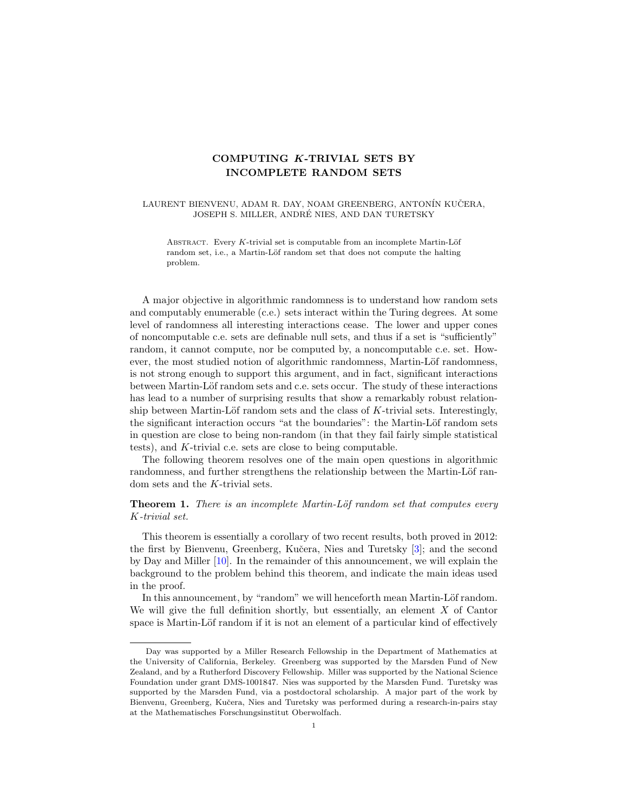## COMPUTING K-TRIVIAL SETS BY INCOMPLETE RANDOM SETS

LAURENT BIENVENU, ADAM R. DAY, NOAM GREENBERG, ANTONÍN KUČERA, JOSEPH S. MILLER, ANDRE NIES, AND DAN TURETSKY ´

ABSTRACT. Every  $K$ -trivial set is computable from an incomplete Martin-Löf random set, i.e., a Martin-Löf random set that does not compute the halting problem.

A major objective in algorithmic randomness is to understand how random sets and computably enumerable (c.e.) sets interact within the Turing degrees. At some level of randomness all interesting interactions cease. The lower and upper cones of noncomputable c.e. sets are definable null sets, and thus if a set is "sufficiently" random, it cannot compute, nor be computed by, a noncomputable c.e. set. However, the most studied notion of algorithmic randomness, Martin-Löf randomness, is not strong enough to support this argument, and in fact, significant interactions between Martin-Löf random sets and c.e. sets occur. The study of these interactions has lead to a number of surprising results that show a remarkably robust relationship between Martin-Löf random sets and the class of  $K$ -trivial sets. Interestingly, the significant interaction occurs "at the boundaries": the Martin-Löf random sets in question are close to being non-random (in that they fail fairly simple statistical tests), and K-trivial c.e. sets are close to being computable.

The following theorem resolves one of the main open questions in algorithmic randomness, and further strengthens the relationship between the Martin-Löf random sets and the K-trivial sets.

<span id="page-0-0"></span>**Theorem 1.** There is an incomplete Martin-Löf random set that computes every K-trivial set.

This theorem is essentially a corollary of two recent results, both proved in 2012: the first by Bienvenu, Greenberg, Kučera, Nies and Turetsky [\[3\]](#page-8-0); and the second by Day and Miller [\[10\]](#page-8-1). In the remainder of this announcement, we will explain the background to the problem behind this theorem, and indicate the main ideas used in the proof.

In this announcement, by "random" we will henceforth mean Martin-Löf random. We will give the full definition shortly, but essentially, an element  $X$  of Cantor space is Martin-Löf random if it is not an element of a particular kind of effectively

Day was supported by a Miller Research Fellowship in the Department of Mathematics at the University of California, Berkeley. Greenberg was supported by the Marsden Fund of New Zealand, and by a Rutherford Discovery Fellowship. Miller was supported by the National Science Foundation under grant DMS-1001847. Nies was supported by the Marsden Fund. Turetsky was supported by the Marsden Fund, via a postdoctoral scholarship. A major part of the work by Bienvenu, Greenberg, Kučera, Nies and Turetsky was performed during a research-in-pairs stay at the Mathematisches Forschungsinstitut Oberwolfach.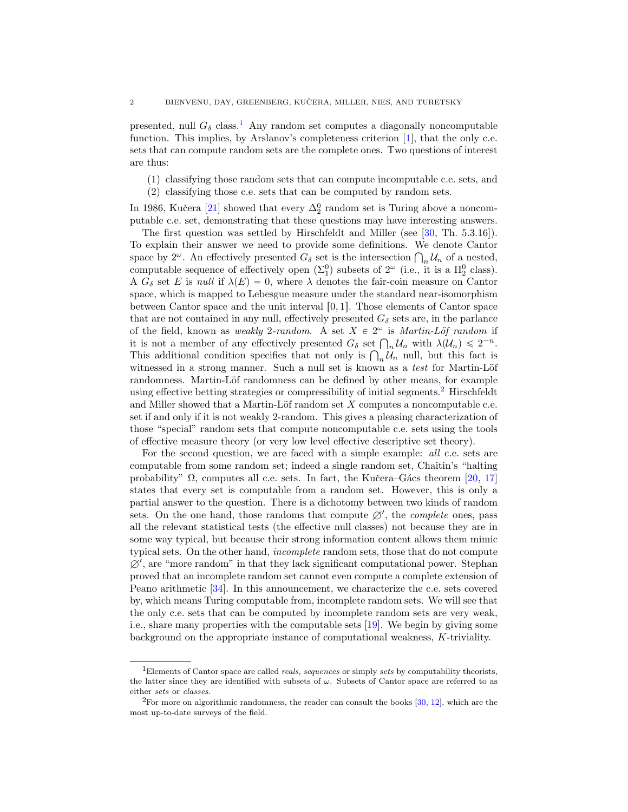presented, null  $G_{\delta}$  class.<sup>[1](#page-1-0)</sup> Any random set computes a diagonally noncomputable function. This implies, by Arslanov's completeness criterion [\[1\]](#page-8-2), that the only c.e. sets that can compute random sets are the complete ones. Two questions of interest are thus:

(1) classifying those random sets that can compute incomputable c.e. sets, and

(2) classifying those c.e. sets that can be computed by random sets.

In 1986, Kučera [\[21\]](#page-8-3) showed that every  $\Delta_2^0$  random set is Turing above a noncomputable c.e. set, demonstrating that these questions may have interesting answers.

The first question was settled by Hirschfeldt and Miller (see [\[30,](#page-9-0) Th. 5.3.16]). To explain their answer we need to provide some definitions. We denote Cantor To explain their answer we need to provide some definitions. We denote Cantor space by  $2^{\omega}$ . An effectively presented  $G_{\delta}$  set is the intersection  $\bigcap_n U_n$  of a nested, computable sequence of effectively open  $(\Sigma_1^0)$  subsets of  $2^{\omega}$  (i.e., it is a  $\Pi_2^0$  class). A  $G_{\delta}$  set E is null if  $\lambda(E) = 0$ , where  $\lambda$  denotes the fair-coin measure on Cantor space, which is mapped to Lebesgue measure under the standard near-isomorphism between Cantor space and the unit interval  $[0, 1]$ . Those elements of Cantor space that are not contained in any null, effectively presented  $G_{\delta}$  sets are, in the parlance of the field, known as weakly 2-random. A set  $X \in 2^{\omega}$  is Martin-Löf random if of the field, known as *weakly* 2-random. A set  $X \in 2^{\omega}$  is *Martin-Löf random* if<br>it is not a member of any effectively presented  $G_{\delta}$  set  $\bigcap_n U_n$  with  $\lambda(\mathcal{U}_n) \leq 2^{-n}$ . It is not a member of any effectively presented  $G_{\delta}$  set  $|\cdot|_n U_n$  with  $\lambda(U_n) \leq 2^{-n}$ .<br>This additional condition specifies that not only is  $\bigcap_n U_n$  null, but this fact is witnessed in a strong manner. Such a null set is known as a test for Martin-Löf randomness. Martin-Löf randomness can be defined by other means, for example using effective betting strategies or compressibility of initial segments.[2](#page-1-1) Hirschfeldt and Miller showed that a Martin-Löf random set  $X$  computes a noncomputable c.e. set if and only if it is not weakly 2-random. This gives a pleasing characterization of those "special" random sets that compute noncomputable c.e. sets using the tools of effective measure theory (or very low level effective descriptive set theory).

For the second question, we are faced with a simple example: all c.e. sets are computable from some random set; indeed a single random set, Chaitin's "halting probability"  $\Omega$ , computes all c.e. sets. In fact, the Kučera–Gács theorem [\[20,](#page-8-4) [17\]](#page-8-5) states that every set is computable from a random set. However, this is only a partial answer to the question. There is a dichotomy between two kinds of random sets. On the one hand, those randoms that compute  $\emptyset'$ , the *complete* ones, pass all the relevant statistical tests (the effective null classes) not because they are in some way typical, but because their strong information content allows them mimic typical sets. On the other hand, incomplete random sets, those that do not compute  $\emptyset'$ , are "more random" in that they lack significant computational power. Stephan proved that an incomplete random set cannot even compute a complete extension of Peano arithmetic [\[34\]](#page-9-1). In this announcement, we characterize the c.e. sets covered by, which means Turing computable from, incomplete random sets. We will see that the only c.e. sets that can be computed by incomplete random sets are very weak, i.e., share many properties with the computable sets [\[19\]](#page-8-6). We begin by giving some background on the appropriate instance of computational weakness, K-triviality.

<span id="page-1-0"></span> $1$ Elements of Cantor space are called *reals, sequences* or simply sets by computability theorists, the latter since they are identified with subsets of  $\omega$ . Subsets of Cantor space are referred to as either sets or classes.

<span id="page-1-1"></span> ${}^{2}$ For more on algorithmic randomness, the reader can consult the books [\[30,](#page-9-0) [12\]](#page-8-7), which are the most up-to-date surveys of the field.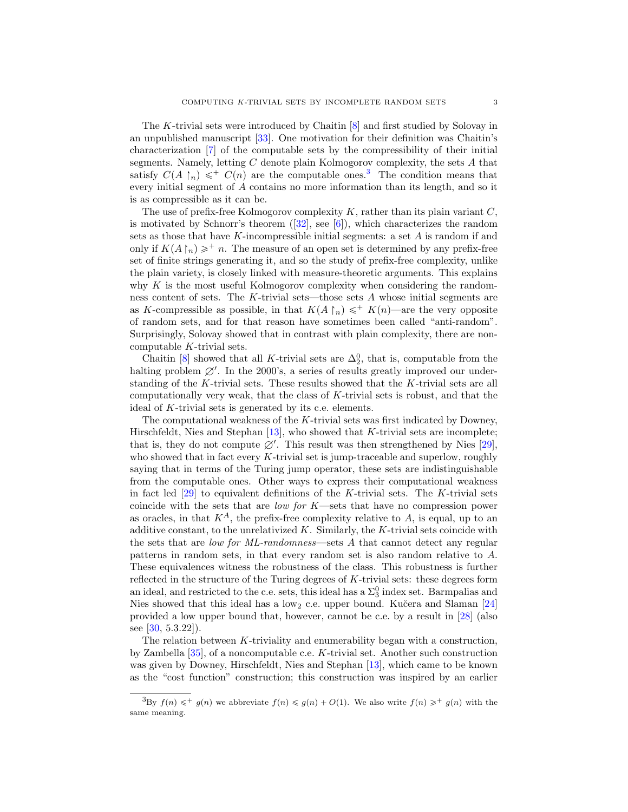The K-trivial sets were introduced by Chaitin [\[8\]](#page-8-8) and first studied by Solovay in an unpublished manuscript [\[33\]](#page-9-2). One motivation for their definition was Chaitin's characterization [\[7\]](#page-8-9) of the computable sets by the compressibility of their initial segments. Namely, letting C denote plain Kolmogorov complexity, the sets A that satisfy  $C(A \upharpoonright_n) \leq^+ C(n)$  are the computable ones.<sup>[3](#page-2-0)</sup> The condition means that every initial segment of A contains no more information than its length, and so it is as compressible as it can be.

The use of prefix-free Kolmogorov complexity  $K$ , rather than its plain variant  $C$ , is motivated by Schnorr's theorem  $([32], \text{ see } [6])$  $([32], \text{ see } [6])$  $([32], \text{ see } [6])$  $([32], \text{ see } [6])$  $([32], \text{ see } [6])$ , which characterizes the random sets as those that have  $K$ -incompressible initial segments: a set  $A$  is random if and only if  $K(A\upharpoonright_n)\geqslant^+ n$ . The measure of an open set is determined by any prefix-free set of finite strings generating it, and so the study of prefix-free complexity, unlike the plain variety, is closely linked with measure-theoretic arguments. This explains why  $K$  is the most useful Kolmogorov complexity when considering the randomness content of sets. The K-trivial sets—those sets  $A$  whose initial segments are as K-compressible as possible, in that  $K(A \restriction_n) \leq T^* K(n)$ —are the very opposite of random sets, and for that reason have sometimes been called "anti-random". Surprisingly, Solovay showed that in contrast with plain complexity, there are noncomputable K-trivial sets.

Chaitin [\[8\]](#page-8-8) showed that all K-trivial sets are  $\Delta_2^0$ , that is, computable from the halting problem  $\emptyset'$ . In the 2000's, a series of results greatly improved our understanding of the K-trivial sets. These results showed that the K-trivial sets are all computationally very weak, that the class of  $K$ -trivial sets is robust, and that the ideal of K-trivial sets is generated by its c.e. elements.

The computational weakness of the  $K$ -trivial sets was first indicated by Downey, Hirschfeldt, Nies and Stephan  $[13]$ , who showed that K-trivial sets are incomplete; that is, they do not compute  $\emptyset'$ . This result was then strengthened by Nies [\[29\]](#page-9-4), who showed that in fact every  $K$ -trivial set is jump-traceable and superlow, roughly saying that in terms of the Turing jump operator, these sets are indistinguishable from the computable ones. Other ways to express their computational weakness in fact led  $[29]$  to equivalent definitions of the K-trivial sets. The K-trivial sets coincide with the sets that are *low for K—sets* that have no compression power as oracles, in that  $K^A$ , the prefix-free complexity relative to A, is equal, up to an additive constant, to the unrelativized  $K$ . Similarly, the  $K$ -trivial sets coincide with the sets that are low for ML-randomness—sets A that cannot detect any regular patterns in random sets, in that every random set is also random relative to A. These equivalences witness the robustness of the class. This robustness is further reflected in the structure of the Turing degrees of K-trivial sets: these degrees form an ideal, and restricted to the c.e. sets, this ideal has a  $\Sigma_3^0$  index set. Barmpalias and Nies showed that this ideal has a low<sub>2</sub> c.e. upper bound. Kučera and Slaman  $[24]$ provided a low upper bound that, however, cannot be c.e. by a result in [\[28\]](#page-9-5) (also see  $[30, 5.3.22]$  $[30, 5.3.22]$ .

The relation between K-triviality and enumerability began with a construction, by Zambella  $[35]$ , of a noncomputable c.e. K-trivial set. Another such construction was given by Downey, Hirschfeldt, Nies and Stephan [\[13\]](#page-8-11), which came to be known as the "cost function" construction; this construction was inspired by an earlier

<span id="page-2-0"></span><sup>&</sup>lt;sup>3</sup>By  $f(n) \leqslant^+ g(n)$  we abbreviate  $f(n) \leqslant g(n) + O(1)$ . We also write  $f(n) \geqslant^+ g(n)$  with the same meaning.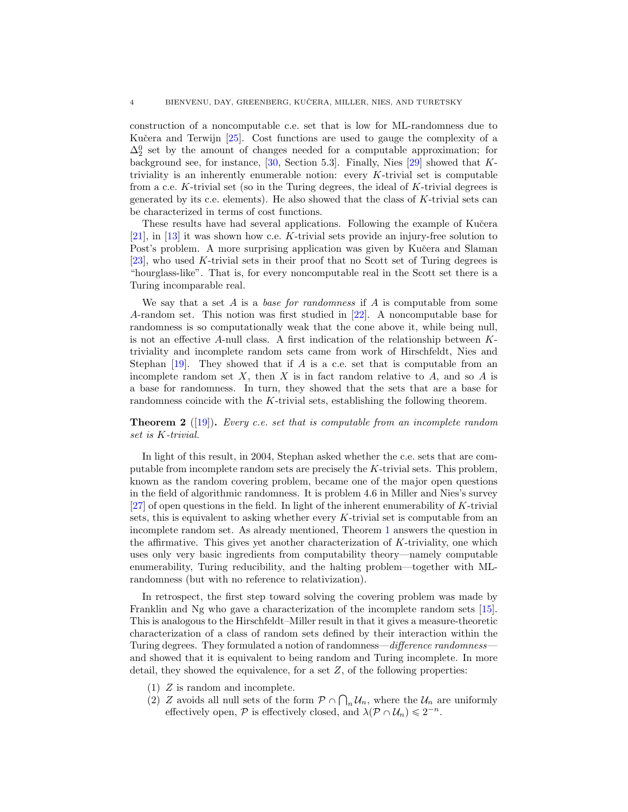construction of a noncomputable c.e. set that is low for ML-randomness due to Kučera and Terwijn [\[25\]](#page-8-13). Cost functions are used to gauge the complexity of a  $\Delta_2^0$  set by the amount of changes needed for a computable approximation; for background see, for instance,  $[30,$  Section 5.3]. Finally, Nies  $[29]$  showed that Ktriviality is an inherently enumerable notion: every  $K$ -trivial set is computable from a c.e. K-trivial set (so in the Turing degrees, the ideal of  $K$ -trivial degrees is generated by its c.e. elements). He also showed that the class of K-trivial sets can be characterized in terms of cost functions.

These results have had several applications. Following the example of Kučera [\[21\]](#page-8-3), in [\[13\]](#page-8-11) it was shown how c.e. K-trivial sets provide an injury-free solution to Post's problem. A more surprising application was given by Kučera and Slaman [\[23\]](#page-8-14), who used K-trivial sets in their proof that no Scott set of Turing degrees is "hourglass-like". That is, for every noncomputable real in the Scott set there is a Turing incomparable real.

We say that a set A is a base for randomness if A is computable from some A-random set. This notion was first studied in [\[22\]](#page-8-15). A noncomputable base for randomness is so computationally weak that the cone above it, while being null, is not an effective A-null class. A first indication of the relationship between Ktriviality and incomplete random sets came from work of Hirschfeldt, Nies and Stephan  $[19]$ . They showed that if A is a c.e. set that is computable from an incomplete random set  $X$ , then  $X$  is in fact random relative to  $A$ , and so  $A$  is a base for randomness. In turn, they showed that the sets that are a base for randomness coincide with the K-trivial sets, establishing the following theorem.

**Theorem 2** ([\[19\]](#page-8-6)). Every c.e. set that is computable from an incomplete random set is K-trivial.

In light of this result, in 2004, Stephan asked whether the c.e. sets that are computable from incomplete random sets are precisely the K-trivial sets. This problem, known as the random covering problem, became one of the major open questions in the field of algorithmic randomness. It is problem 4.6 in Miller and Nies's survey  $[27]$  of open questions in the field. In light of the inherent enumerability of K-trivial sets, this is equivalent to asking whether every  $K$ -trivial set is computable from an incomplete random set. As already mentioned, Theorem [1](#page-0-0) answers the question in the affirmative. This gives yet another characterization of  $K$ -triviality, one which uses only very basic ingredients from computability theory—namely computable enumerability, Turing reducibility, and the halting problem—together with MLrandomness (but with no reference to relativization).

In retrospect, the first step toward solving the covering problem was made by Franklin and Ng who gave a characterization of the incomplete random sets [\[15\]](#page-8-16). This is analogous to the Hirschfeldt–Miller result in that it gives a measure-theoretic characterization of a class of random sets defined by their interaction within the Turing degrees. They formulated a notion of randomness—difference randomness and showed that it is equivalent to being random and Turing incomplete. In more detail, they showed the equivalence, for a set  $Z$ , of the following properties:

- (1) Z is random and incomplete.
- (2) Z avoids all null sets of the form  $P \cap \bigcap_n U_n$ , where the  $U_n$  are uniformly effectively open,  $P$  is effectively closed, and  $\lambda(P \cap U_n) \leq 2^{-n}$ .

Ş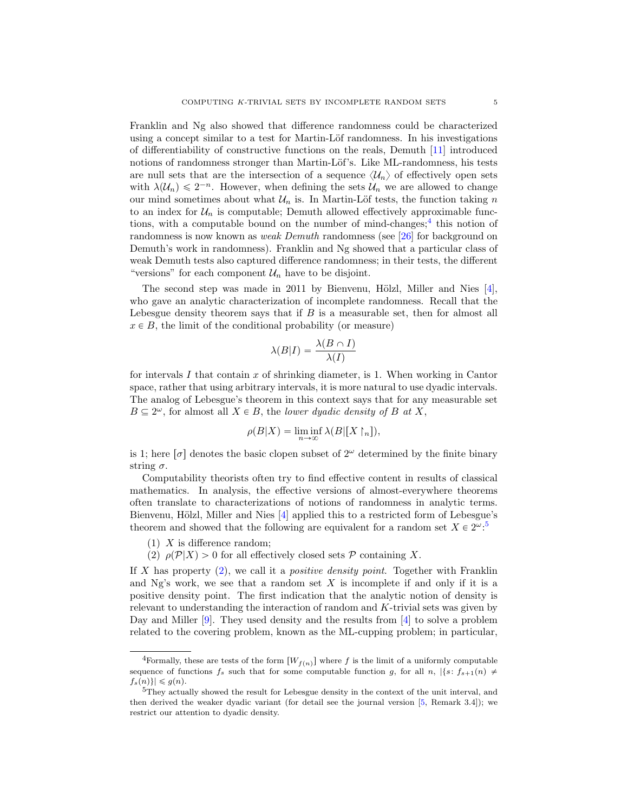Franklin and Ng also showed that difference randomness could be characterized using a concept similar to a test for Martin-Löf randomness. In his investigations of differentiability of constructive functions on the reals, Demuth [\[11\]](#page-8-17) introduced notions of randomness stronger than Martin-Löf's. Like ML-randomness, his tests are null sets that are the intersection of a sequence  $\langle U_n \rangle$  of effectively open sets with  $\lambda(\mathcal{U}_n) \leq 2^{-n}$ . However, when defining the sets  $\mathcal{U}_n$  we are allowed to change our mind sometimes about what  $\mathcal{U}_n$  is. In Martin-Löf tests, the function taking n to an index for  $\mathcal{U}_n$  is computable; Demuth allowed effectively approximable functions, with a computable bound on the number of mind-changes;  $\frac{4}{3}$  $\frac{4}{3}$  $\frac{4}{3}$  this notion of randomness is now known as weak Demuth randomness (see [\[26\]](#page-9-8) for background on Demuth's work in randomness). Franklin and Ng showed that a particular class of weak Demuth tests also captured difference randomness; in their tests, the different "versions" for each component  $\mathcal{U}_n$  have to be disjoint.

The second step was made in 2011 by Bienvenu, Hölzl, Miller and Nies  $[4]$ , who gave an analytic characterization of incomplete randomness. Recall that the Lebesgue density theorem says that if  $B$  is a measurable set, then for almost all  $x \in B$ , the limit of the conditional probability (or measure)

$$
\lambda(B|I) = \frac{\lambda(B \cap I)}{\lambda(I)}
$$

for intervals I that contain x of shrinking diameter, is 1. When working in Cantor space, rather that using arbitrary intervals, it is more natural to use dyadic intervals. The analog of Lebesgue's theorem in this context says that for any measurable set  $B \subseteq 2^{\omega}$ , for almost all  $X \in B$ , the lower dyadic density of B at X,

$$
\rho(B|X) = \liminf_{n \to \infty} \lambda(B|[X\restriction_n]),
$$

is 1; here  $\sigma$  denotes the basic clopen subset of  $2^{\omega}$  determined by the finite binary string  $\sigma$ .

Computability theorists often try to find effective content in results of classical mathematics. In analysis, the effective versions of almost-everywhere theorems often translate to characterizations of notions of randomness in analytic terms. Bienvenu, Hölzl, Miller and Nies [\[4\]](#page-8-18) applied this to a restricted form of Lebesgue's theorem and showed that the following are equivalent for a random set  $X \in 2^{\omega}$ :<sup>[5](#page-4-1)</sup>

- $(1)$  X is difference random;
- <span id="page-4-2"></span>(2)  $\rho(\mathcal{P}|X) > 0$  for all effectively closed sets P containing X.

If X has property  $(2)$ , we call it a *positive density point*. Together with Franklin and Ng's work, we see that a random set  $X$  is incomplete if and only if it is a positive density point. The first indication that the analytic notion of density is relevant to understanding the interaction of random and K-trivial sets was given by Day and Miller [\[9\]](#page-8-19). They used density and the results from [\[4\]](#page-8-18) to solve a problem related to the covering problem, known as the ML-cupping problem; in particular,

<span id="page-4-0"></span><sup>&</sup>lt;sup>4</sup>Formally, these are tests of the form  $[W_{f(n)}]$  where f is the limit of a uniformly computable sequence of functions  $f_s$  such that for some computable function g, for all n,  $|\{s: f_{s+1}(n) \neq \emptyset\}|$  $|f_s(n)| \leq g(n).$ 

<span id="page-4-1"></span> $5$ They actually showed the result for Lebesgue density in the context of the unit interval, and then derived the weaker dyadic variant (for detail see the journal version [\[5,](#page-8-20) Remark 3.4]); we restrict our attention to dyadic density.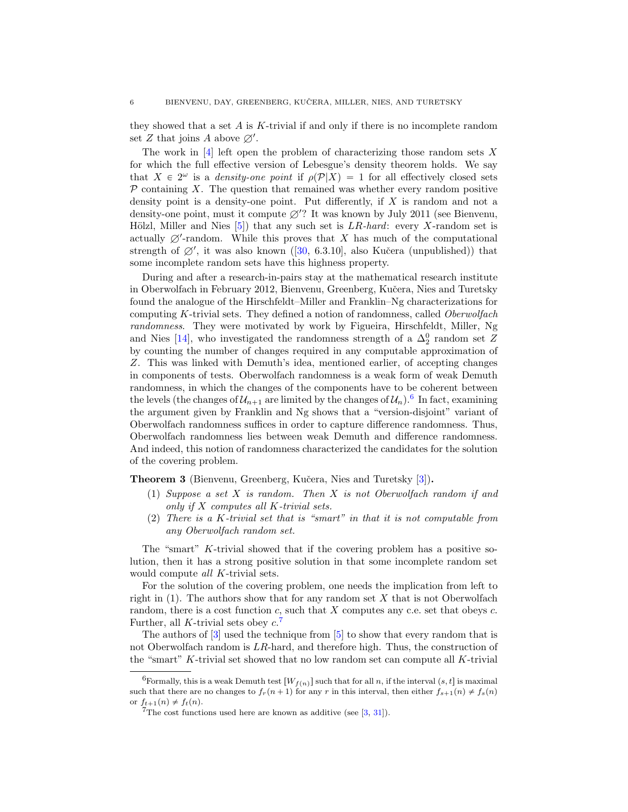they showed that a set  $\tilde{A}$  is K-trivial if and only if there is no incomplete random set Z that joins A above  $\varnothing'$ .

The work in  $[4]$  left open the problem of characterizing those random sets X for which the full effective version of Lebesgue's density theorem holds. We say that  $X \in 2^{\omega}$  is a *density-one point* if  $\rho(\mathcal{P}|X) = 1$  for all effectively closed sets  $P$  containing X. The question that remained was whether every random positive density point is a density-one point. Put differently, if  $X$  is random and not a density-one point, must it compute  $\emptyset$ ? It was known by July 2011 (see Bienvenu, Hölzl, Miller and Nies  $[5]$ ) that any such set is  $LR$ -hard: every X-random set is actually  $\emptyset'$ -random. While this proves that X has much of the computational strength of  $\emptyset'$ , it was also known ([\[30,](#page-9-0) 6.3.10], also Kučera (unpublished)) that some incomplete random sets have this highness property.

During and after a research-in-pairs stay at the mathematical research institute in Oberwolfach in February 2012, Bienvenu, Greenberg, Kučera, Nies and Turetsky found the analogue of the Hirschfeldt–Miller and Franklin–Ng characterizations for computing K-trivial sets. They defined a notion of randomness, called Oberwolfach randomness. They were motivated by work by Figueira, Hirschfeldt, Miller, Ng and Nies [\[14\]](#page-8-21), who investigated the randomness strength of a  $\Delta_2^0$  random set Z by counting the number of changes required in any computable approximation of Z. This was linked with Demuth's idea, mentioned earlier, of accepting changes in components of tests. Oberwolfach randomness is a weak form of weak Demuth randomness, in which the changes of the components have to be coherent between the levels (the changes of  $\mathcal{U}_{n+1}$  are limited by the changes of  $\mathcal{U}_n$ ).<sup>[6](#page-5-0)</sup> In fact, examining the argument given by Franklin and Ng shows that a "version-disjoint" variant of Oberwolfach randomness suffices in order to capture difference randomness. Thus, Oberwolfach randomness lies between weak Demuth and difference randomness. And indeed, this notion of randomness characterized the candidates for the solution of the covering problem.

Theorem 3 (Bienvenu, Greenberg, Kučera, Nies and Turetsky [\[3\]](#page-8-0)).

- (1) Suppose a set X is random. Then X is not Oberwolfach random if and only if  $X$  computes all  $K$ -trivial sets.
- (2) There is a K-trivial set that is "smart" in that it is not computable from any Oberwolfach random set.

The "smart" K-trivial showed that if the covering problem has a positive solution, then it has a strong positive solution in that some incomplete random set would compute all K-trivial sets.

For the solution of the covering problem, one needs the implication from left to right in  $(1)$ . The authors show that for any random set X that is not Oberwolfach random, there is a cost function  $c$ , such that X computes any c.e. set that obeys  $c$ . Further, all K-trivial sets obey  $c$ .<sup>[7](#page-5-1)</sup>

The authors of [\[3\]](#page-8-0) used the technique from [\[5\]](#page-8-20) to show that every random that is not Oberwolfach random is  $LR$ -hard, and therefore high. Thus, the construction of the "smart" K-trivial set showed that no low random set can compute all K-trivial

<span id="page-5-0"></span><sup>&</sup>lt;sup>6</sup>Formally, this is a weak Demuth test  $[W_{f(n)}]$  such that for all n, if the interval  $(s, t]$  is maximal such that there are no changes to  $f_r(n+1)$  for any r in this interval, then either  $f_{s+1}(n) \neq f_s(n)$ or  $f_{t+1}(n) \neq f_t(n)$ .

<span id="page-5-1"></span><sup>&</sup>lt;sup>7</sup>The cost functions used here are known as additive (see  $[3, 31]$  $[3, 31]$  $[3, 31]$ ).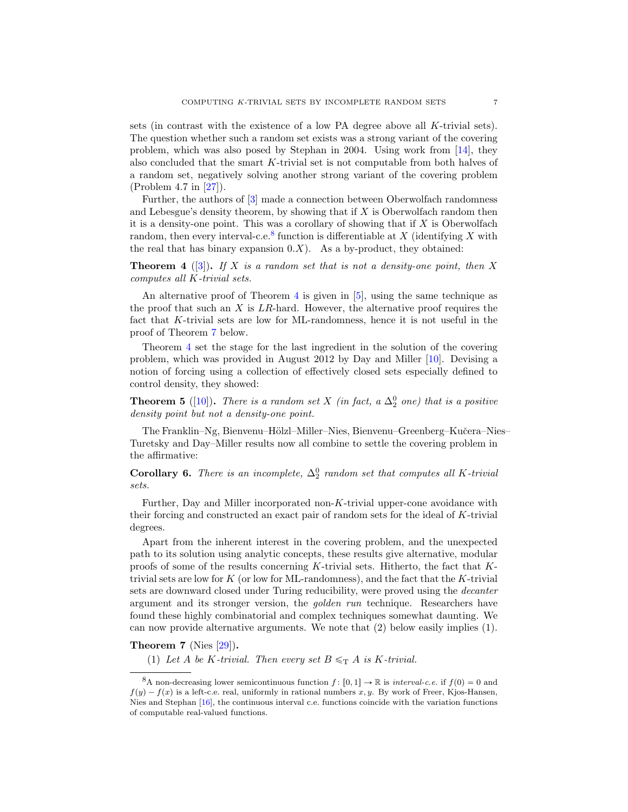sets (in contrast with the existence of a low PA degree above all K-trivial sets). The question whether such a random set exists was a strong variant of the covering problem, which was also posed by Stephan in 2004. Using work from [\[14\]](#page-8-21), they also concluded that the smart K-trivial set is not computable from both halves of a random set, negatively solving another strong variant of the covering problem (Problem 4.7 in [\[27\]](#page-9-7)).

Further, the authors of [\[3\]](#page-8-0) made a connection between Oberwolfach randomness and Lebesgue's density theorem, by showing that if  $X$  is Oberwolfach random then it is a density-one point. This was a corollary of showing that if  $X$  is Oberwolfach random, then every interval-c.e.<sup>[8](#page-6-0)</sup> function is differentiable at X (identifying X with the real that has binary expansion  $0.X$ ). As a by-product, they obtained:

<span id="page-6-1"></span>**Theorem 4** ([\[3\]](#page-8-0)). If X is a random set that is not a density-one point, then X computes all K-trivial sets.

An alternative proof of Theorem [4](#page-6-1) is given in [\[5\]](#page-8-20), using the same technique as the proof that such an  $X$  is  $LR$ -hard. However, the alternative proof requires the fact that K-trivial sets are low for ML-randomness, hence it is not useful in the proof of Theorem [7](#page-6-2) below.

Theorem [4](#page-6-1) set the stage for the last ingredient in the solution of the covering problem, which was provided in August 2012 by Day and Miller [\[10\]](#page-8-1). Devising a notion of forcing using a collection of effectively closed sets especially defined to control density, they showed:

**Theorem 5** ([\[10\]](#page-8-1)). There is a random set X (in fact, a  $\Delta_2^0$  one) that is a positive density point but not a density-one point.

The Franklin–Ng, Bienvenu–Hölzl–Miller–Nies, Bienvenu–Greenberg–Kučera–Nies– Turetsky and Day–Miller results now all combine to settle the covering problem in the affirmative:

**Corollary 6.** There is an incomplete,  $\Delta_2^0$  random set that computes all K-trivial sets.

Further, Day and Miller incorporated non-K-trivial upper-cone avoidance with their forcing and constructed an exact pair of random sets for the ideal of K-trivial degrees.

Apart from the inherent interest in the covering problem, and the unexpected path to its solution using analytic concepts, these results give alternative, modular proofs of some of the results concerning K-trivial sets. Hitherto, the fact that Ktrivial sets are low for  $K$  (or low for ML-randomness), and the fact that the  $K$ -trivial sets are downward closed under Turing reducibility, were proved using the *decanter* argument and its stronger version, the golden run technique. Researchers have found these highly combinatorial and complex techniques somewhat daunting. We can now provide alternative arguments. We note that (2) below easily implies (1).

## <span id="page-6-2"></span>Theorem 7 (Nies [\[29\]](#page-9-4)).

(1) Let A be K-trivial. Then every set  $B \leq_T A$  is K-trivial.

<span id="page-6-0"></span><sup>&</sup>lt;sup>8</sup>A non-decreasing lower semicontinuous function  $f : [0, 1] \rightarrow \mathbb{R}$  is *interval-c.e.* if  $f(0) = 0$  and  $f(y) - f(x)$  is a left-c.e. real, uniformly in rational numbers x, y. By work of Freer, Kjos-Hansen, Nies and Stephan [\[16\]](#page-8-22), the continuous interval c.e. functions coincide with the variation functions of computable real-valued functions.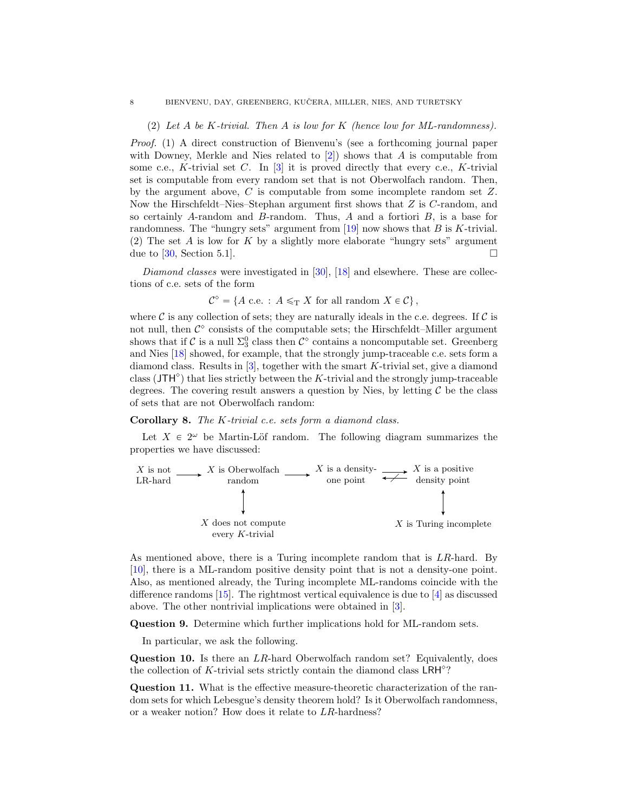(2) Let A be K-trivial. Then A is low for K (hence low for ML-randomness).

Proof. (1) A direct construction of Bienvenu's (see a forthcoming journal paper with Downey, Merkle and Nies related to  $[2]$ ) shows that A is computable from some c.e., K-trivial set C. In  $[3]$  it is proved directly that every c.e., K-trivial set is computable from every random set that is not Oberwolfach random. Then, by the argument above, C is computable from some incomplete random set Z. Now the Hirschfeldt–Nies–Stephan argument first shows that Z is C-random, and so certainly  $A$ -random and  $B$ -random. Thus,  $A$  and a fortiori  $B$ , is a base for randomness. The "hungry sets" argument from  $[19]$  now shows that B is K-trivial. (2) The set A is low for K by a slightly more elaborate "hungry sets" argument due to [\[30,](#page-9-0) Section 5.1].

*Diamond classes* were investigated in [\[30\]](#page-9-0), [\[18\]](#page-8-24) and elsewhere. These are collections of c.e. sets of the form

$$
\mathcal{C}^{\diamond} = \{ A \text{ c.e.} : A \leq_T X \text{ for all random } X \in \mathcal{C} \},
$$

where  $\mathcal C$  is any collection of sets; they are naturally ideals in the c.e. degrees. If  $\mathcal C$  is not null, then  $\mathcal{C}^{\diamond}$  consists of the computable sets; the Hirschfeldt–Miller argument shows that if  $\mathcal C$  is a null  $\Sigma^0_3$  class then  $\mathcal C^\diamond$  contains a noncomputable set. Greenberg and Nies [\[18\]](#page-8-24) showed, for example, that the strongly jump-traceable c.e. sets form a diamond class. Results in  $[3]$ , together with the smart K-trivial set, give a diamond class ( $JTH^{\circ}$ ) that lies strictly between the K-trivial and the strongly jump-traceable degrees. The covering result answers a question by Nies, by letting  $\mathcal C$  be the class of sets that are not Oberwolfach random:

## Corollary 8. The K-trivial c.e. sets form a diamond class.

Let  $X \in 2^{\omega}$  be Martin-Löf random. The following diagram summarizes the properties we have discussed:



As mentioned above, there is a Turing incomplete random that is LR-hard. By [\[10\]](#page-8-1), there is a ML-random positive density point that is not a density-one point. Also, as mentioned already, the Turing incomplete ML-randoms coincide with the difference randoms [\[15\]](#page-8-16). The rightmost vertical equivalence is due to [\[4\]](#page-8-18) as discussed above. The other nontrivial implications were obtained in [\[3\]](#page-8-0).

Question 9. Determine which further implications hold for ML-random sets.

In particular, we ask the following.

Question 10. Is there an LR-hard Oberwolfach random set? Equivalently, does the collection of  $K$ -trivial sets strictly contain the diamond class  $LRH^{\diamond}$ ?

Question 11. What is the effective measure-theoretic characterization of the random sets for which Lebesgue's density theorem hold? Is it Oberwolfach randomness, or a weaker notion? How does it relate to LR-hardness?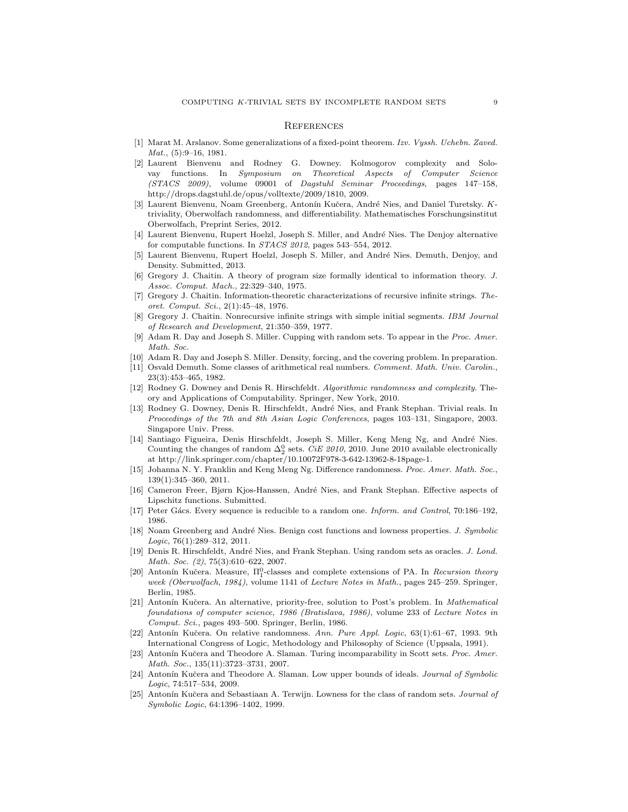## **REFERENCES**

- <span id="page-8-2"></span>[1] Marat M. Arslanov. Some generalizations of a fixed-point theorem. Izv. Vyssh. Uchebn. Zaved. Mat., (5):9–16, 1981.
- <span id="page-8-23"></span>[2] Laurent Bienvenu and Rodney G. Downey. Kolmogorov complexity and Solovay functions. In Symposium on Theoretical Aspects of Computer Science (STACS 2009), volume 09001 of Dagstuhl Seminar Proceedings, pages 147–158, http://drops.dagstuhl.de/opus/volltexte/2009/1810, 2009.
- <span id="page-8-0"></span>[3] Laurent Bienvenu, Noam Greenberg, Antonín Kučera, André Nies, and Daniel Turetsky. Ktriviality, Oberwolfach randomness, and differentiability. Mathematisches Forschungsinstitut Oberwolfach, Preprint Series, 2012.
- <span id="page-8-18"></span>[4] Laurent Bienvenu, Rupert Hoelzl, Joseph S. Miller, and André Nies. The Denjoy alternative for computable functions. In STACS 2012, pages 543–554, 2012.
- <span id="page-8-20"></span>[5] Laurent Bienvenu, Rupert Hoelzl, Joseph S. Miller, and André Nies. Demuth, Denjoy, and Density. Submitted, 2013.
- <span id="page-8-10"></span>[6] Gregory J. Chaitin. A theory of program size formally identical to information theory. J. Assoc. Comput. Mach., 22:329–340, 1975.
- <span id="page-8-9"></span>[7] Gregory J. Chaitin. Information-theoretic characterizations of recursive infinite strings. Theoret. Comput. Sci., 2(1):45–48, 1976.
- <span id="page-8-8"></span>Gregory J. Chaitin. Nonrecursive infinite strings with simple initial segments. IBM Journal of Research and Development, 21:350–359, 1977.
- <span id="page-8-19"></span>[9] Adam R. Day and Joseph S. Miller. Cupping with random sets. To appear in the Proc. Amer. Math. Soc.
- <span id="page-8-1"></span>[10] Adam R. Day and Joseph S. Miller. Density, forcing, and the covering problem. In preparation.
- <span id="page-8-17"></span>[11] Osvald Demuth. Some classes of arithmetical real numbers. Comment. Math. Univ. Carolin., 23(3):453–465, 1982.
- <span id="page-8-7"></span>[12] Rodney G. Downey and Denis R. Hirschfeldt. Algorithmic randomness and complexity. Theory and Applications of Computability. Springer, New York, 2010.
- <span id="page-8-11"></span>[13] Rodney G. Downey, Denis R. Hirschfeldt, André Nies, and Frank Stephan. Trivial reals. In Proceedings of the 7th and 8th Asian Logic Conferences, pages 103–131, Singapore, 2003. Singapore Univ. Press.
- <span id="page-8-21"></span>[14] Santiago Figueira, Denis Hirschfeldt, Joseph S. Miller, Keng Meng Ng, and André Nies. Counting the changes of random  $\Delta_2^0$  sets. *CiE 2010*, 2010. June 2010 available electronically at http://link.springer.com/chapter/10.10072F978-3-642-13962-8-18page-1.
- <span id="page-8-16"></span>[15] Johanna N. Y. Franklin and Keng Meng Ng. Difference randomness. Proc. Amer. Math. Soc., 139(1):345–360, 2011.
- <span id="page-8-22"></span>[16] Cameron Freer, Bjørn Kjos-Hanssen, André Nies, and Frank Stephan. Effective aspects of Lipschitz functions. Submitted.
- <span id="page-8-5"></span>[17] Peter Gács. Every sequence is reducible to a random one. Inform. and Control, 70:186–192, 1986.
- <span id="page-8-24"></span>[18] Noam Greenberg and André Nies. Benign cost functions and lowness properties. J. Symbolic Logic, 76(1):289–312, 2011.
- <span id="page-8-6"></span>[19] Denis R. Hirschfeldt, André Nies, and Frank Stephan. Using random sets as oracles. J. Lond. Math. Soc. (2), 75(3):610-622, 2007.
- <span id="page-8-4"></span>[20] Antonín Kučera. Measure,  $\Pi_1^0$ -classes and complete extensions of PA. In Recursion theory week (Oberwolfach, 1984), volume 1141 of Lecture Notes in Math., pages 245–259. Springer, Berlin, 1985.
- <span id="page-8-3"></span>[21] Antonín Kučera. An alternative, priority-free, solution to Post's problem. In Mathematical foundations of computer science, 1986 (Bratislava, 1986), volume 233 of Lecture Notes in Comput. Sci., pages 493–500. Springer, Berlin, 1986.
- <span id="page-8-15"></span>Antonín Kučera. On relative randomness. Ann. Pure Appl. Logic, 63(1):61–67, 1993. 9th International Congress of Logic, Methodology and Philosophy of Science (Uppsala, 1991).
- <span id="page-8-14"></span>[23] Antonín Kučera and Theodore A. Slaman. Turing incomparability in Scott sets. Proc. Amer. Math. Soc., 135(11):3723–3731, 2007.
- <span id="page-8-12"></span>[24] Antonín Kučera and Theodore A. Slaman. Low upper bounds of ideals. *Journal of Symbolic* Logic, 74:517–534, 2009.
- <span id="page-8-13"></span>[25] Antonín Kučera and Sebastiaan A. Terwijn. Lowness for the class of random sets. Journal of Symbolic Logic, 64:1396–1402, 1999.